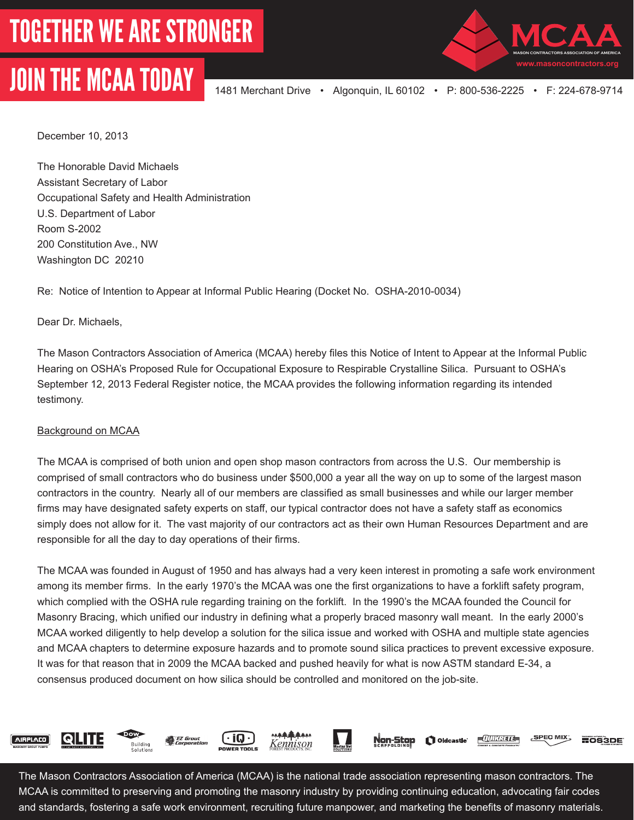## JOIN THE MCAA TODAY 1481 Merchant Drive • Algonquin, IL 60102 • P: 800-536-2225 • F: 224-678-9714



December 10, 2013

The Honorable David Michaels Assistant Secretary of Labor Occupational Safety and Health Administration U.S. Department of Labor Room S-2002 200 Constitution Ave., NW Washington DC 20210

Re: Notice of Intention to Appear at Informal Public Hearing (Docket No. OSHA-2010-0034)

Dear Dr. Michaels,

The Mason Contractors Association of America (MCAA) hereby files this Notice of Intent to Appear at the Informal Public Hearing on OSHA's Proposed Rule for Occupational Exposure to Respirable Crystalline Silica. Pursuant to OSHA's September 12, 2013 Federal Register notice, the MCAA provides the following information regarding its intended testimony.

## Background on MCAA

The MCAA is comprised of both union and open shop mason contractors from across the U.S. Our membership is comprised of small contractors who do business under \$500,000 a year all the way on up to some of the largest mason contractors in the country. Nearly all of our members are classified as small businesses and while our larger member firms may have designated safety experts on staff, our typical contractor does not have a safety staff as economics simply does not allow for it. The vast majority of our contractors act as their own Human Resources Department and are responsible for all the day to day operations of their firms.

The MCAA was founded in August of 1950 and has always had a very keen interest in promoting a safe work environment among its member firms. In the early 1970's the MCAA was one the first organizations to have a forklift safety program, which complied with the OSHA rule regarding training on the forklift. In the 1990's the MCAA founded the Council for Masonry Bracing, which unified our industry in defining what a properly braced masonry wall meant. In the early 2000's MCAA worked diligently to help develop a solution for the silica issue and worked with OSHA and multiple state agencies and MCAA chapters to determine exposure hazards and to promote sound silica practices to prevent excessive exposure. It was for that reason that in 2009 the MCAA backed and pushed heavily for what is now ASTM standard E-34, a consensus produced document on how silica should be controlled and monitored on the job-site.



The Mason Contractors Association of America (MCAA) is the national trade association representing mason contractors. The MCAA is committed to preserving and promoting the masonry industry by providing continuing education, advocating fair codes and standards, fostering a safe work environment, recruiting future manpower, and marketing the benefits of masonry materials.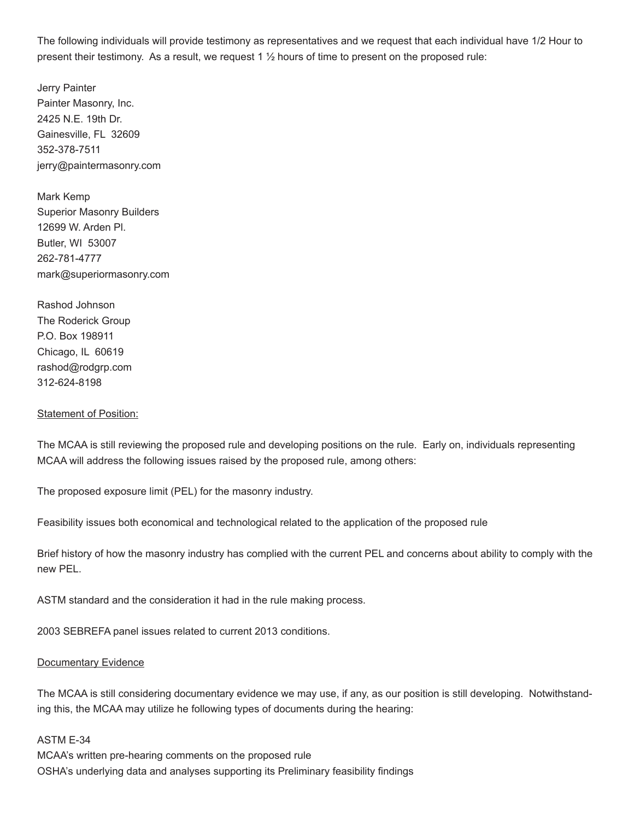The following individuals will provide testimony as representatives and we request that each individual have 1/2 Hour to present their testimony. As a result, we request 1 ½ hours of time to present on the proposed rule:

Jerry Painter Painter Masonry, Inc. 2425 N.E. 19th Dr. Gainesville, FL 32609 352-378-7511 jerry@paintermasonry.com

Mark Kemp Superior Masonry Builders 12699 W. Arden Pl. Butler, WI 53007 262-781-4777 mark@superiormasonry.com

Rashod Johnson The Roderick Group P.O. Box 198911 Chicago, IL 60619 rashod@rodgrp.com 312-624-8198

## **Statement of Position:**

The MCAA is still reviewing the proposed rule and developing positions on the rule. Early on, individuals representing MCAA will address the following issues raised by the proposed rule, among others:

The proposed exposure limit (PEL) for the masonry industry.

Feasibility issues both economical and technological related to the application of the proposed rule

Brief history of how the masonry industry has complied with the current PEL and concerns about ability to comply with the new PEL.

ASTM standard and the consideration it had in the rule making process.

2003 SEBREFA panel issues related to current 2013 conditions.

## Documentary Evidence

The MCAA is still considering documentary evidence we may use, if any, as our position is still developing. Notwithstanding this, the MCAA may utilize he following types of documents during the hearing:

ASTM E-34 MCAA's written pre-hearing comments on the proposed rule OSHA's underlying data and analyses supporting its Preliminary feasibility findings